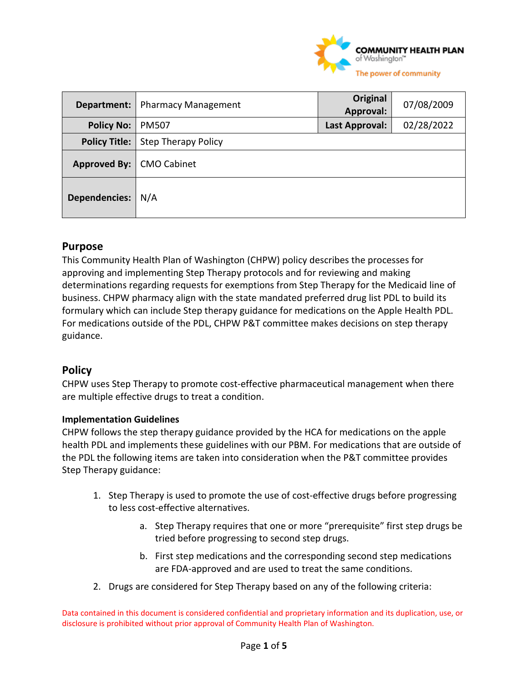

| Department:          | <b>Pharmacy Management</b> | Original<br>Approval: | 07/08/2009 |
|----------------------|----------------------------|-----------------------|------------|
| <b>Policy No:</b>    | <b>PM507</b>               | Last Approval:        | 02/28/2022 |
| <b>Policy Title:</b> | <b>Step Therapy Policy</b> |                       |            |
| <b>Approved By:</b>  | <b>CMO Cabinet</b>         |                       |            |
| <b>Dependencies:</b> | N/A                        |                       |            |

## **Purpose**

This Community Health Plan of Washington (CHPW) policy describes the processes for approving and implementing Step Therapy protocols and for reviewing and making determinations regarding requests for exemptions from Step Therapy for the Medicaid line of business. CHPW pharmacy align with the state mandated preferred drug list PDL to build its formulary which can include Step therapy guidance for medications on the Apple Health PDL. For medications outside of the PDL, CHPW P&T committee makes decisions on step therapy guidance.

## **Policy**

CHPW uses Step Therapy to promote cost-effective pharmaceutical management when there are multiple effective drugs to treat a condition.

## **Implementation Guidelines**

CHPW follows the step therapy guidance provided by the HCA for medications on the apple health PDL and implements these guidelines with our PBM. For medications that are outside of the PDL the following items are taken into consideration when the P&T committee provides Step Therapy guidance:

- 1. Step Therapy is used to promote the use of cost-effective drugs before progressing to less cost-effective alternatives.
	- a. Step Therapy requires that one or more "prerequisite" first step drugs be tried before progressing to second step drugs.
	- b. First step medications and the corresponding second step medications are FDA-approved and are used to treat the same conditions.
- 2. Drugs are considered for Step Therapy based on any of the following criteria: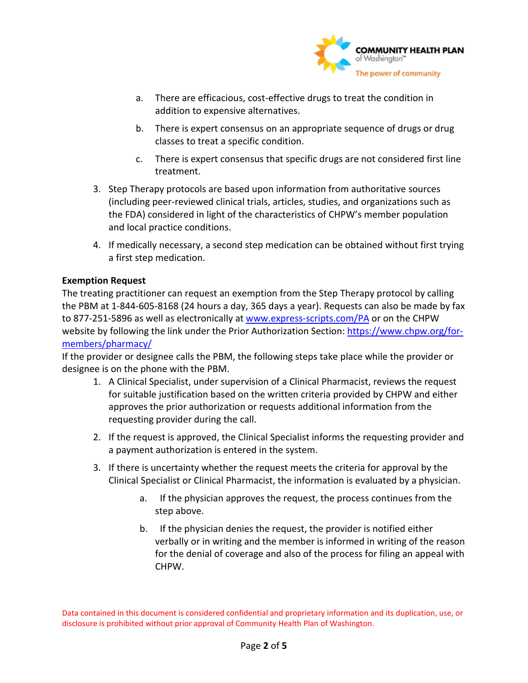

- a. There are efficacious, cost-effective drugs to treat the condition in addition to expensive alternatives.
- b. There is expert consensus on an appropriate sequence of drugs or drug classes to treat a specific condition.
- c. There is expert consensus that specific drugs are not considered first line treatment.
- 3. Step Therapy protocols are based upon information from authoritative sources (including peer-reviewed clinical trials, articles, studies, and organizations such as the FDA) considered in light of the characteristics of CHPW's member population and local practice conditions.
- 4. If medically necessary, a second step medication can be obtained without first trying a first step medication.

### **Exemption Request**

The treating practitioner can request an exemption from the Step Therapy protocol by calling the PBM at 1-844-605-8168 (24 hours a day, 365 days a year). Requests can also be made by fax to 877-251-5896 as well as electronically at [www.express-scripts.com/PA](http://www.express-scripts.com/PA) or on the CHPW website by following the link under the Prior Authorization Section[: https://www.chpw.org/for](https://www.chpw.org/for-members/pharmacy/)[members/pharmacy/](https://www.chpw.org/for-members/pharmacy/) 

If the provider or designee calls the PBM, the following steps take place while the provider or designee is on the phone with the PBM.

- 1. A Clinical Specialist, under supervision of a Clinical Pharmacist, reviews the request for suitable justification based on the written criteria provided by CHPW and either approves the prior authorization or requests additional information from the requesting provider during the call.
- 2. If the request is approved, the Clinical Specialist informs the requesting provider and a payment authorization is entered in the system.
- 3. If there is uncertainty whether the request meets the criteria for approval by the Clinical Specialist or Clinical Pharmacist, the information is evaluated by a physician.
	- a. If the physician approves the request, the process continues from the step above.
	- b. If the physician denies the request, the provider is notified either verbally or in writing and the member is informed in writing of the reason for the denial of coverage and also of the process for filing an appeal with CHPW.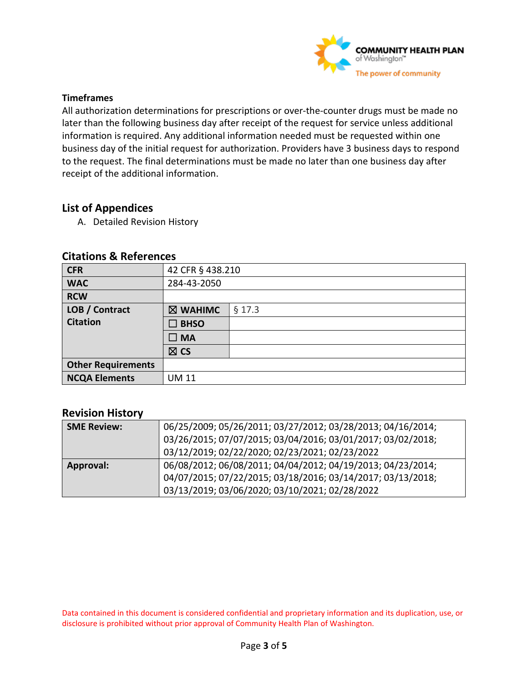

#### **Timeframes**

All authorization determinations for prescriptions or over-the-counter drugs must be made no later than the following business day after receipt of the request for service unless additional information is required. Any additional information needed must be requested within one business day of the initial request for authorization. Providers have 3 business days to respond to the request. The final determinations must be made no later than one business day after receipt of the additional information.

## **List of Appendices**

A. Detailed Revision History

| <b>CFR</b>                | 42 CFR § 438.210 |        |
|---------------------------|------------------|--------|
| <b>WAC</b>                | 284-43-2050      |        |
| <b>RCW</b>                |                  |        |
| LOB / Contract            | ⊠ WAHIMC         | § 17.3 |
| <b>Citation</b>           | $\square$ BHSO   |        |
|                           | $\square$ MA     |        |
|                           | $\boxtimes$ CS   |        |
| <b>Other Requirements</b> |                  |        |
| <b>NCQA Elements</b>      | <b>UM 11</b>     |        |

#### **Citations & References**

## **Revision History**

| <b>SME Review:</b> | 06/25/2009; 05/26/2011; 03/27/2012; 03/28/2013; 04/16/2014; |  |
|--------------------|-------------------------------------------------------------|--|
|                    | 03/26/2015; 07/07/2015; 03/04/2016; 03/01/2017; 03/02/2018; |  |
|                    | 03/12/2019; 02/22/2020; 02/23/2021; 02/23/2022              |  |
| <b>Approval:</b>   | 06/08/2012; 06/08/2011; 04/04/2012; 04/19/2013; 04/23/2014; |  |
|                    | 04/07/2015; 07/22/2015; 03/18/2016; 03/14/2017; 03/13/2018; |  |
|                    | 03/13/2019; 03/06/2020; 03/10/2021; 02/28/2022              |  |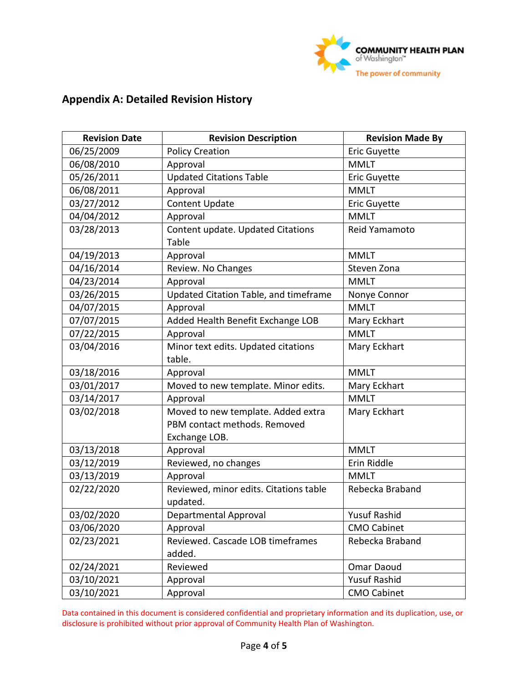

# **Appendix A: Detailed Revision History**

| <b>Revision Date</b> | <b>Revision Description</b>                                                         | <b>Revision Made By</b> |
|----------------------|-------------------------------------------------------------------------------------|-------------------------|
| 06/25/2009           | <b>Policy Creation</b>                                                              | <b>Eric Guyette</b>     |
| 06/08/2010           | Approval                                                                            | <b>MMLT</b>             |
| 05/26/2011           | <b>Updated Citations Table</b>                                                      | <b>Eric Guyette</b>     |
| 06/08/2011           | Approval                                                                            | <b>MMLT</b>             |
| 03/27/2012           | <b>Content Update</b>                                                               | <b>Eric Guyette</b>     |
| 04/04/2012           | Approval                                                                            | <b>MMLT</b>             |
| 03/28/2013           | Content update. Updated Citations<br>Table                                          | Reid Yamamoto           |
| 04/19/2013           | Approval                                                                            | <b>MMLT</b>             |
| 04/16/2014           | Review. No Changes                                                                  | Steven Zona             |
| 04/23/2014           | Approval                                                                            | <b>MMLT</b>             |
| 03/26/2015           | Updated Citation Table, and timeframe                                               | Nonye Connor            |
| 04/07/2015           | Approval                                                                            | <b>MMLT</b>             |
| 07/07/2015           | Added Health Benefit Exchange LOB                                                   | Mary Eckhart            |
| 07/22/2015           | Approval                                                                            | <b>MMLT</b>             |
| 03/04/2016           | Minor text edits. Updated citations<br>table.                                       | Mary Eckhart            |
| 03/18/2016           | Approval                                                                            | <b>MMLT</b>             |
| 03/01/2017           | Moved to new template. Minor edits.                                                 | Mary Eckhart            |
| 03/14/2017           | Approval                                                                            | <b>MMLT</b>             |
| 03/02/2018           | Moved to new template. Added extra<br>PBM contact methods. Removed<br>Exchange LOB. | Mary Eckhart            |
| 03/13/2018           | Approval                                                                            | <b>MMLT</b>             |
| 03/12/2019           | Reviewed, no changes                                                                | Erin Riddle             |
| 03/13/2019           | Approval                                                                            | <b>MMLT</b>             |
| 02/22/2020           | Reviewed, minor edits. Citations table<br>updated.                                  | Rebecka Braband         |
| 03/02/2020           | Departmental Approval                                                               | <b>Yusuf Rashid</b>     |
| 03/06/2020           | Approval                                                                            | <b>CMO Cabinet</b>      |
| 02/23/2021           | Reviewed. Cascade LOB timeframes<br>added.                                          | Rebecka Braband         |
| 02/24/2021           | Reviewed                                                                            | Omar Daoud              |
| 03/10/2021           | Approval                                                                            | <b>Yusuf Rashid</b>     |
| 03/10/2021           | Approval                                                                            | <b>CMO Cabinet</b>      |